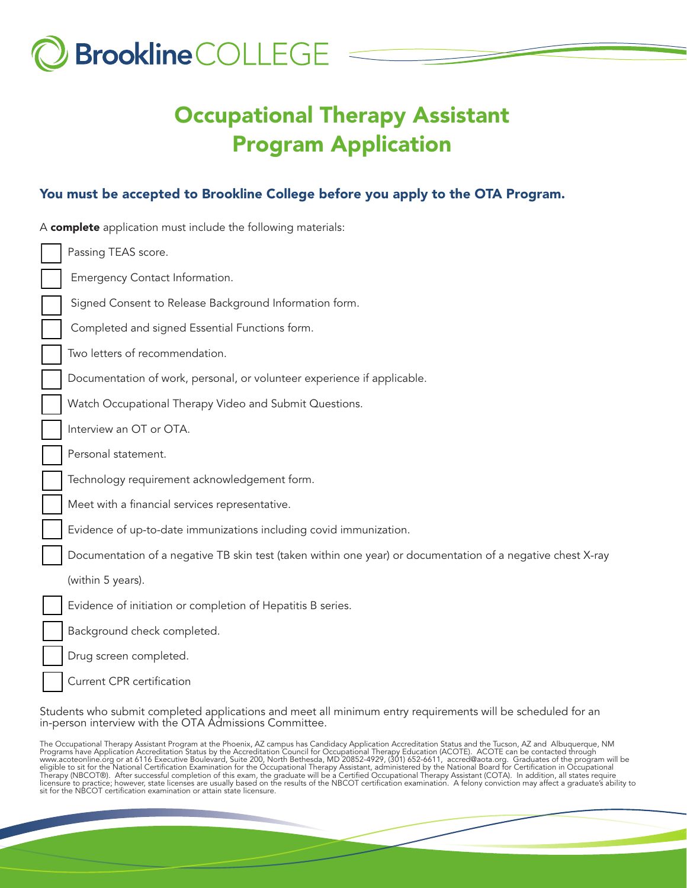

# Occupational Therapy Assistant Program Application

### You must be accepted to Brookline College before you apply to the OTA Program.

| A complete application must include the following materials:                                                |  |  |  |  |
|-------------------------------------------------------------------------------------------------------------|--|--|--|--|
| Passing TEAS score.                                                                                         |  |  |  |  |
| Emergency Contact Information.                                                                              |  |  |  |  |
| Signed Consent to Release Background Information form.                                                      |  |  |  |  |
| Completed and signed Essential Functions form.                                                              |  |  |  |  |
| Two letters of recommendation.                                                                              |  |  |  |  |
| Documentation of work, personal, or volunteer experience if applicable.                                     |  |  |  |  |
| Watch Occupational Therapy Video and Submit Questions.                                                      |  |  |  |  |
| Interview an OT or OTA.                                                                                     |  |  |  |  |
| Personal statement.                                                                                         |  |  |  |  |
| Technology requirement acknowledgement form.                                                                |  |  |  |  |
| Meet with a financial services representative.                                                              |  |  |  |  |
| Evidence of up-to-date immunizations including covid immunization.                                          |  |  |  |  |
| Documentation of a negative TB skin test (taken within one year) or documentation of a negative chest X-ray |  |  |  |  |
| (within 5 years).                                                                                           |  |  |  |  |
| Evidence of initiation or completion of Hepatitis B series.                                                 |  |  |  |  |
| Background check completed.                                                                                 |  |  |  |  |
| Drug screen completed.                                                                                      |  |  |  |  |
| <b>Current CPR certification</b>                                                                            |  |  |  |  |

Students who submit completed applications and meet all minimum entry requirements will be scheduled for an in-person interview with the OTA Admissions Committee.

The Occupational Therapy Assistant Program at the Phoenix, AZ campus has Candidacy Application Accreditation Status and the Tucson, AZ and Albuquerque, NM<br>Programs have Application Accreditation Status by the Accreditation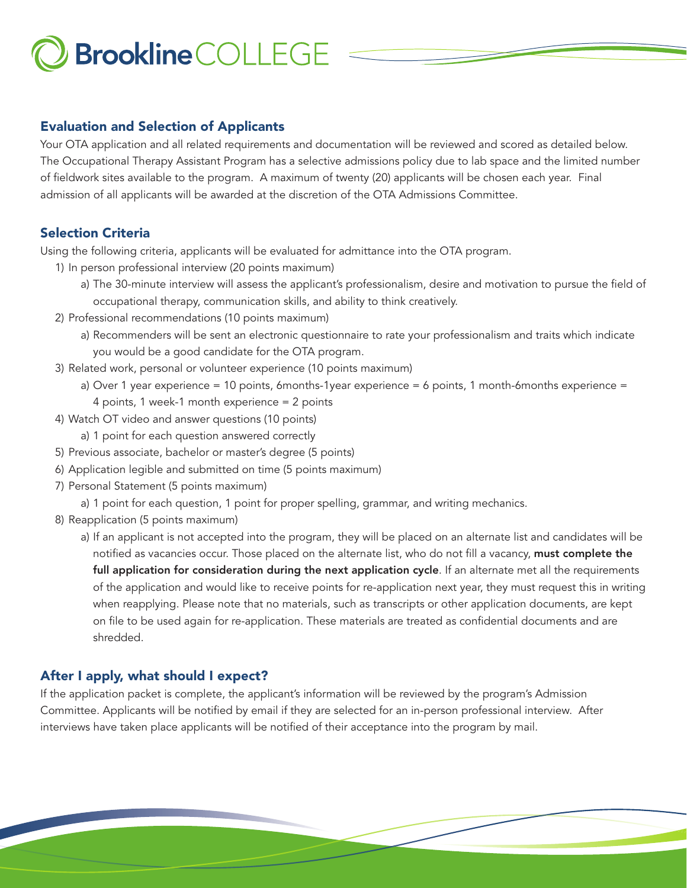### Evaluation and Selection of Applicants

Your OTA application and all related requirements and documentation will be reviewed and scored as detailed below. The Occupational Therapy Assistant Program has a selective admissions policy due to lab space and the limited number of fieldwork sites available to the program. A maximum of twenty (20) applicants will be chosen each year. Final admission of all applicants will be awarded at the discretion of the OTA Admissions Committee.

## Selection Criteria

Using the following criteria, applicants will be evaluated for admittance into the OTA program.

- 1) In person professional interview (20 points maximum)
	- a) The 30-minute interview will assess the applicant's professionalism, desire and motivation to pursue the field of occupational therapy, communication skills, and ability to think creatively.
- 2) Professional recommendations (10 points maximum)
	- a) Recommenders will be sent an electronic questionnaire to rate your professionalism and traits which indicate you would be a good candidate for the OTA program.
- 3) Related work, personal or volunteer experience (10 points maximum)
	- a) Over 1 year experience = 10 points, 6months-1year experience = 6 points, 1 month-6months experience = 4 points, 1 week-1 month experience = 2 points
- 4) Watch OT video and answer questions (10 points)
	- a) 1 point for each question answered correctly
- 5) Previous associate, bachelor or master's degree (5 points)
- 6) Application legible and submitted on time (5 points maximum)
- 7) Personal Statement (5 points maximum)
	- a) 1 point for each question, 1 point for proper spelling, grammar, and writing mechanics.
- 8) Reapplication (5 points maximum)
	- a) If an applicant is not accepted into the program, they will be placed on an alternate list and candidates will be notified as vacancies occur. Those placed on the alternate list, who do not fill a vacancy, must complete the full application for consideration during the next application cycle. If an alternate met all the requirements of the application and would like to receive points for re-application next year, they must request this in writing when reapplying. Please note that no materials, such as transcripts or other application documents, are kept on file to be used again for re-application. These materials are treated as confidential documents and are shredded.

# After I apply, what should I expect?

If the application packet is complete, the applicant's information will be reviewed by the program's Admission Committee. Applicants will be notified by email if they are selected for an in-person professional interview. After interviews have taken place applicants will be notified of their acceptance into the program by mail.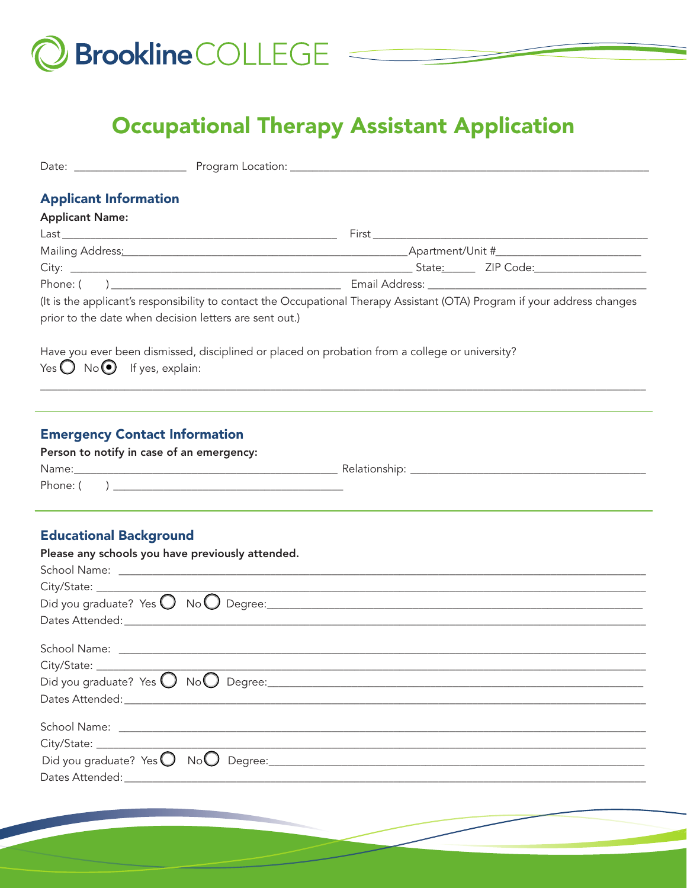

# **Occupational Therapy Assistant Application**

| <b>Applicant Information</b><br><b>Applicant Name:</b>                            |                                                                                                                           |
|-----------------------------------------------------------------------------------|---------------------------------------------------------------------------------------------------------------------------|
|                                                                                   |                                                                                                                           |
|                                                                                   |                                                                                                                           |
|                                                                                   |                                                                                                                           |
|                                                                                   |                                                                                                                           |
| prior to the date when decision letters are sent out.)                            | (It is the applicant's responsibility to contact the Occupational Therapy Assistant (OTA) Program if your address changes |
| Yes $\bigcirc$ No $\bigcirc$ If yes, explain:                                     | Have you ever been dismissed, disciplined or placed on probation from a college or university?                            |
| <b>Emergency Contact Information</b><br>Person to notify in case of an emergency: |                                                                                                                           |
| <b>Educational Background</b><br>Please any schools you have previously attended. |                                                                                                                           |
| City/State: ____                                                                  |                                                                                                                           |
| City/State: _____________                                                         |                                                                                                                           |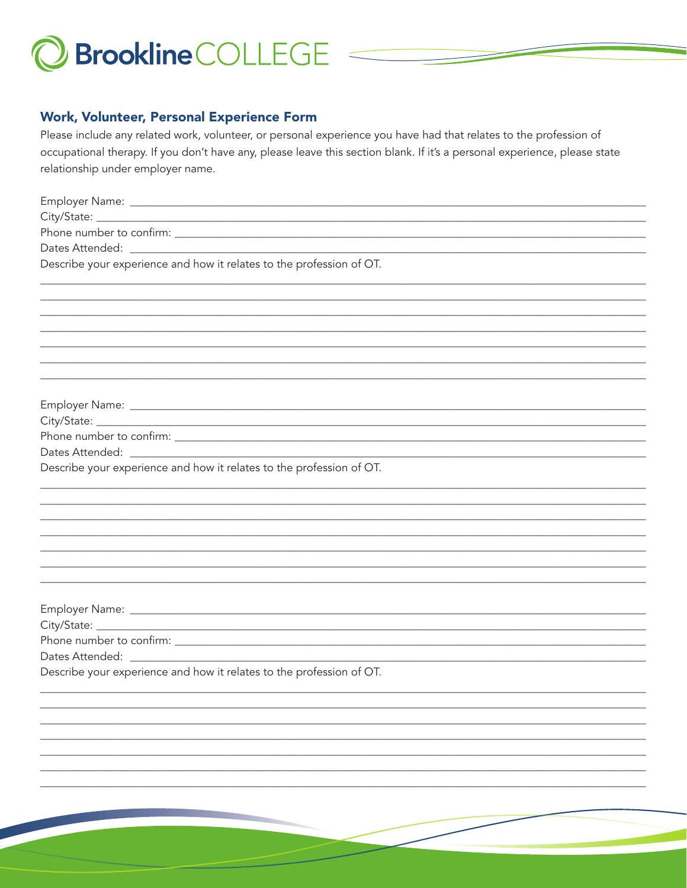

#### **Work, Volunteer, Personal Experience Form**

Please include any related work, volunteer, or personal experience you have had that relates to the profession of occupational therapy. If you don't have any, please leave this section blank. If it's a personal experience, please state relationship under employer name.

| Describe your experience and how it relates to the profession of OT. |
|----------------------------------------------------------------------|
|                                                                      |
|                                                                      |
|                                                                      |
|                                                                      |
|                                                                      |
|                                                                      |
|                                                                      |
|                                                                      |
|                                                                      |
|                                                                      |
|                                                                      |
| Describe your experience and how it relates to the profession of OT. |
|                                                                      |
|                                                                      |
|                                                                      |
|                                                                      |
|                                                                      |
|                                                                      |
|                                                                      |
|                                                                      |
|                                                                      |
|                                                                      |
|                                                                      |
| Describe your experience and how it relates to the profession of OT. |
|                                                                      |
|                                                                      |
|                                                                      |
|                                                                      |
|                                                                      |
|                                                                      |
|                                                                      |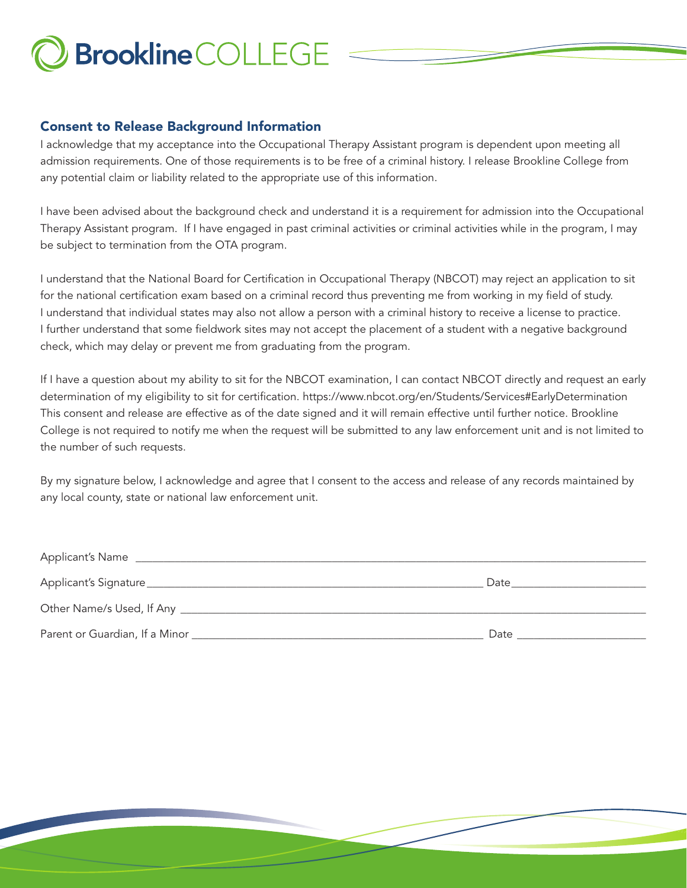## Consent to Release Background Information

I acknowledge that my acceptance into the Occupational Therapy Assistant program is dependent upon meeting all admission requirements. One of those requirements is to be free of a criminal history. I release Brookline College from any potential claim or liability related to the appropriate use of this information.

I have been advised about the background check and understand it is a requirement for admission into the Occupational Therapy Assistant program. If I have engaged in past criminal activities or criminal activities while in the program, I may be subject to termination from the OTA program.

I understand that the National Board for Certification in Occupational Therapy (NBCOT) may reject an application to sit for the national certification exam based on a criminal record thus preventing me from working in my field of study. I understand that individual states may also not allow a person with a criminal history to receive a license to practice. I further understand that some fieldwork sites may not accept the placement of a student with a negative background check, which may delay or prevent me from graduating from the program.

If I have a question about my ability to sit for the NBCOT examination, I can contact NBCOT directly and request an early determination of my eligibility to sit for certification. https://www.nbcot.org/en/Students/Services#EarlyDetermination This consent and release are effective as of the date signed and it will remain effective until further notice. Brookline College is not required to notify me when the request will be submitted to any law enforcement unit and is not limited to the number of such requests.

By my signature below, I acknowledge and agree that I consent to the access and release of any records maintained by any local county, state or national law enforcement unit.

| <b>Applicant's Name</b>               |      |
|---------------------------------------|------|
| Applicant's Signature                 | Date |
| Other Name/s Used, If Any ___________ |      |
| Parent or Guardian, If a Minor        | Date |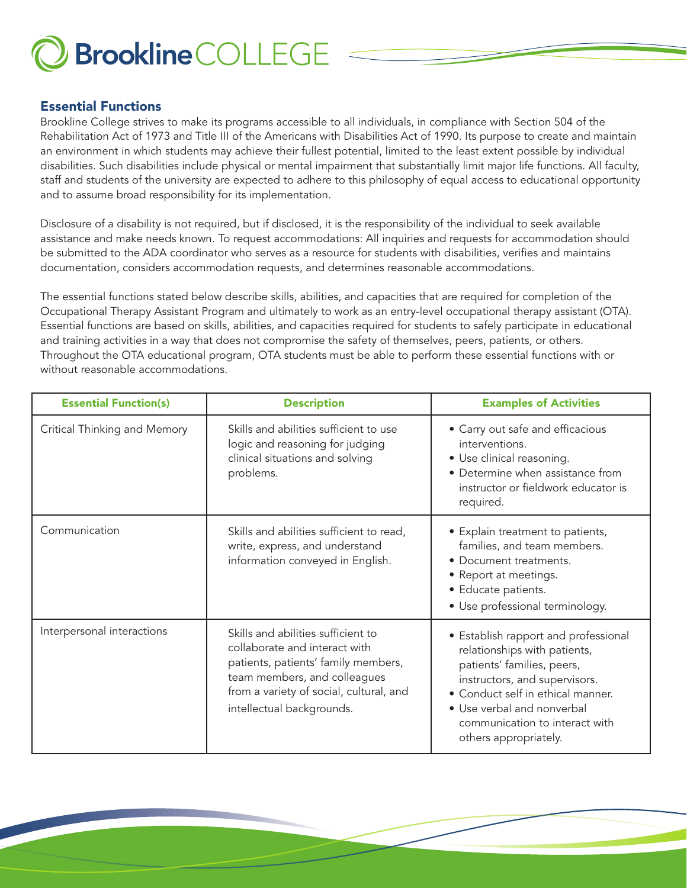

#### Essential Functions

Brookline College strives to make its programs accessible to all individuals, in compliance with Section 504 of the Rehabilitation Act of 1973 and Title III of the Americans with Disabilities Act of 1990. Its purpose to create and maintain an environment in which students may achieve their fullest potential, limited to the least extent possible by individual disabilities. Such disabilities include physical or mental impairment that substantially limit major life functions. All faculty, staff and students of the university are expected to adhere to this philosophy of equal access to educational opportunity and to assume broad responsibility for its implementation.

Disclosure of a disability is not required, but if disclosed, it is the responsibility of the individual to seek available assistance and make needs known. To request accommodations: All inquiries and requests for accommodation should be submitted to the ADA coordinator who serves as a resource for students with disabilities, verifies and maintains documentation, considers accommodation requests, and determines reasonable accommodations.

The essential functions stated below describe skills, abilities, and capacities that are required for completion of the Occupational Therapy Assistant Program and ultimately to work as an entry-level occupational therapy assistant (OTA). Essential functions are based on skills, abilities, and capacities required for students to safely participate in educational and training activities in a way that does not compromise the safety of themselves, peers, patients, or others. Throughout the OTA educational program, OTA students must be able to perform these essential functions with or without reasonable accommodations.

| <b>Essential Function(s)</b> | <b>Description</b>                                                                                                                                                                                                 | <b>Examples of Activities</b>                                                                                                                                                                                                                                     |  |
|------------------------------|--------------------------------------------------------------------------------------------------------------------------------------------------------------------------------------------------------------------|-------------------------------------------------------------------------------------------------------------------------------------------------------------------------------------------------------------------------------------------------------------------|--|
| Critical Thinking and Memory | Skills and abilities sufficient to use<br>logic and reasoning for judging<br>clinical situations and solving<br>problems.                                                                                          | • Carry out safe and efficacious<br>interventions.<br>• Use clinical reasoning.<br>• Determine when assistance from<br>instructor or fieldwork educator is<br>required.                                                                                           |  |
| Communication                | Skills and abilities sufficient to read,<br>write, express, and understand<br>information conveyed in English.                                                                                                     | • Explain treatment to patients,<br>families, and team members.<br>• Document treatments.<br>• Report at meetings.<br>• Educate patients.<br>• Use professional terminology.                                                                                      |  |
| Interpersonal interactions   | Skills and abilities sufficient to<br>collaborate and interact with<br>patients, patients' family members,<br>team members, and colleagues<br>from a variety of social, cultural, and<br>intellectual backgrounds. | • Establish rapport and professional<br>relationships with patients,<br>patients' families, peers,<br>instructors, and supervisors.<br>• Conduct self in ethical manner.<br>• Use verbal and nonverbal<br>communication to interact with<br>others appropriately. |  |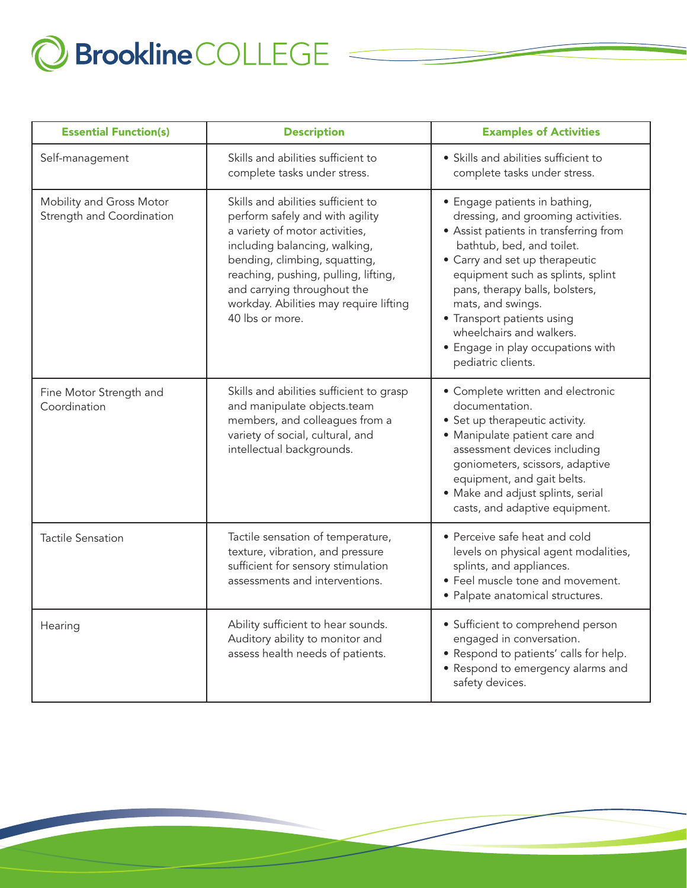

| <b>Essential Function(s)</b>                          | <b>Description</b>                                                                                                                                                                                                                                                                                            | <b>Examples of Activities</b>                                                                                                                                                                                                                                                                                                                                                                 |
|-------------------------------------------------------|---------------------------------------------------------------------------------------------------------------------------------------------------------------------------------------------------------------------------------------------------------------------------------------------------------------|-----------------------------------------------------------------------------------------------------------------------------------------------------------------------------------------------------------------------------------------------------------------------------------------------------------------------------------------------------------------------------------------------|
| Self-management                                       | Skills and abilities sufficient to<br>complete tasks under stress.                                                                                                                                                                                                                                            | • Skills and abilities sufficient to<br>complete tasks under stress.                                                                                                                                                                                                                                                                                                                          |
| Mobility and Gross Motor<br>Strength and Coordination | Skills and abilities sufficient to<br>perform safely and with agility<br>a variety of motor activities,<br>including balancing, walking,<br>bending, climbing, squatting,<br>reaching, pushing, pulling, lifting,<br>and carrying throughout the<br>workday. Abilities may require lifting<br>40 lbs or more. | • Engage patients in bathing,<br>dressing, and grooming activities.<br>• Assist patients in transferring from<br>bathtub, bed, and toilet.<br>• Carry and set up therapeutic<br>equipment such as splints, splint<br>pans, therapy balls, bolsters,<br>mats, and swings.<br>• Transport patients using<br>wheelchairs and walkers.<br>• Engage in play occupations with<br>pediatric clients. |
| Fine Motor Strength and<br>Coordination               | Skills and abilities sufficient to grasp<br>and manipulate objects.team<br>members, and colleagues from a<br>variety of social, cultural, and<br>intellectual backgrounds.                                                                                                                                    | • Complete written and electronic<br>documentation.<br>• Set up therapeutic activity.<br>• Manipulate patient care and<br>assessment devices including<br>goniometers, scissors, adaptive<br>equipment, and gait belts.<br>• Make and adjust splints, serial<br>casts, and adaptive equipment.                                                                                                |
| <b>Tactile Sensation</b>                              | Tactile sensation of temperature,<br>texture, vibration, and pressure<br>sufficient for sensory stimulation<br>assessments and interventions.                                                                                                                                                                 | • Perceive safe heat and cold<br>levels on physical agent modalities,<br>splints, and appliances.<br>• Feel muscle tone and movement.<br>· Palpate anatomical structures.                                                                                                                                                                                                                     |
| Hearing                                               | Ability sufficient to hear sounds.<br>Auditory ability to monitor and<br>assess health needs of patients.                                                                                                                                                                                                     | • Sufficient to comprehend person<br>engaged in conversation.<br>• Respond to patients' calls for help.<br>· Respond to emergency alarms and<br>safety devices.                                                                                                                                                                                                                               |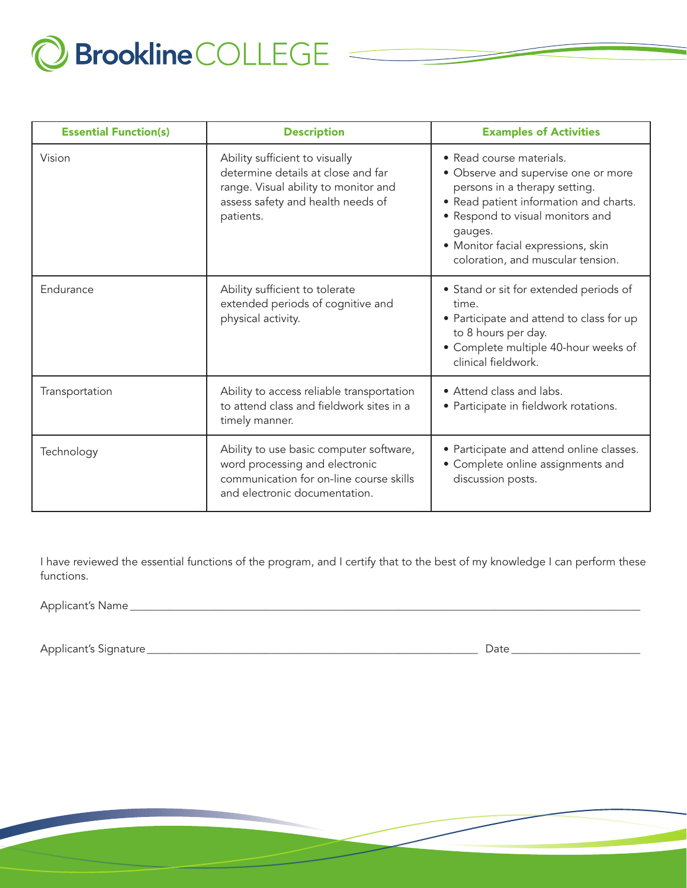

| <b>Essential Function(s)</b> | <b>Description</b>                                                                                                                                             | <b>Examples of Activities</b>                                                                                                                                                                                                                                        |
|------------------------------|----------------------------------------------------------------------------------------------------------------------------------------------------------------|----------------------------------------------------------------------------------------------------------------------------------------------------------------------------------------------------------------------------------------------------------------------|
| Vision                       | Ability sufficient to visually<br>determine details at close and far<br>range. Visual ability to monitor and<br>assess safety and health needs of<br>patients. | • Read course materials.<br>• Observe and supervise one or more<br>persons in a therapy setting.<br>• Read patient information and charts.<br>• Respond to visual monitors and<br>gauges.<br>• Monitor facial expressions, skin<br>coloration, and muscular tension. |
| Endurance                    | Ability sufficient to tolerate<br>extended periods of cognitive and<br>physical activity.                                                                      | • Stand or sit for extended periods of<br>time.<br>• Participate and attend to class for up<br>to 8 hours per day.<br>• Complete multiple 40-hour weeks of<br>clinical fieldwork.                                                                                    |
| Transportation               | Ability to access reliable transportation<br>to attend class and fieldwork sites in a<br>timely manner.                                                        | • Attend class and labs.<br>• Participate in fieldwork rotations.                                                                                                                                                                                                    |
| Technology                   | Ability to use basic computer software,<br>word processing and electronic<br>communication for on-line course skills<br>and electronic documentation.          | • Participate and attend online classes.<br>• Complete online assignments and<br>discussion posts.                                                                                                                                                                   |

I have reviewed the essential functions of the program, and I certify that to the best of my knowledge I can perform these functions.

Applicant's Name \_\_\_\_\_\_\_\_\_\_\_\_\_\_\_\_\_\_\_\_\_\_\_\_\_\_\_\_\_\_\_\_\_\_\_\_\_\_\_\_\_\_\_\_\_\_\_\_\_\_\_\_\_\_\_\_\_\_\_\_\_\_\_\_\_\_\_\_\_\_\_\_\_\_\_\_\_\_\_\_\_\_\_\_\_\_\_\_\_\_\_

Applicant's Signature\_\_\_\_\_\_\_\_\_\_\_\_\_\_\_\_\_\_\_\_\_\_\_\_\_\_\_\_\_\_\_\_\_\_\_\_\_\_\_\_\_\_\_\_\_\_\_\_\_\_\_\_\_\_\_\_\_\_\_ Date \_\_\_\_\_\_\_\_\_\_\_\_\_\_\_\_\_\_\_\_\_\_\_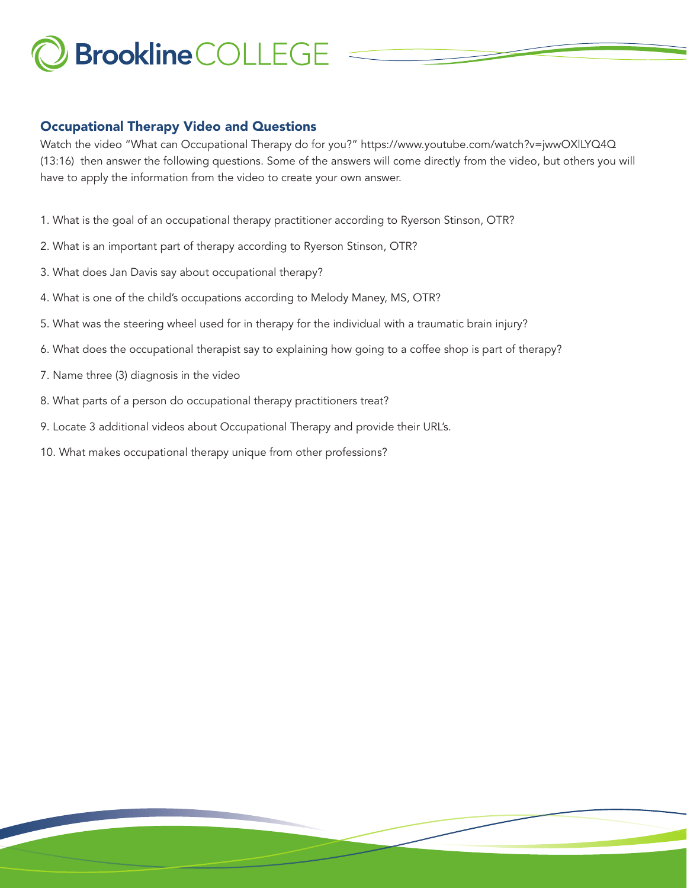## Occupational Therapy Video and Questions

Watch the video "What can Occupational Therapy do for you?" https://www.youtube.com/watch?v=jwwOXlLYQ4Q (13:16) then answer the following questions. Some of the answers will come directly from the video, but others you will have to apply the information from the video to create your own answer.

- 1. What is the goal of an occupational therapy practitioner according to Ryerson Stinson, OTR?
- 2. What is an important part of therapy according to Ryerson Stinson, OTR?
- 3. What does Jan Davis say about occupational therapy?
- 4. What is one of the child's occupations according to Melody Maney, MS, OTR?
- 5. What was the steering wheel used for in therapy for the individual with a traumatic brain injury?
- 6. What does the occupational therapist say to explaining how going to a coffee shop is part of therapy?
- 7. Name three (3) diagnosis in the video
- 8. What parts of a person do occupational therapy practitioners treat?
- 9. Locate 3 additional videos about Occupational Therapy and provide their URL's.
- 10. What makes occupational therapy unique from other professions?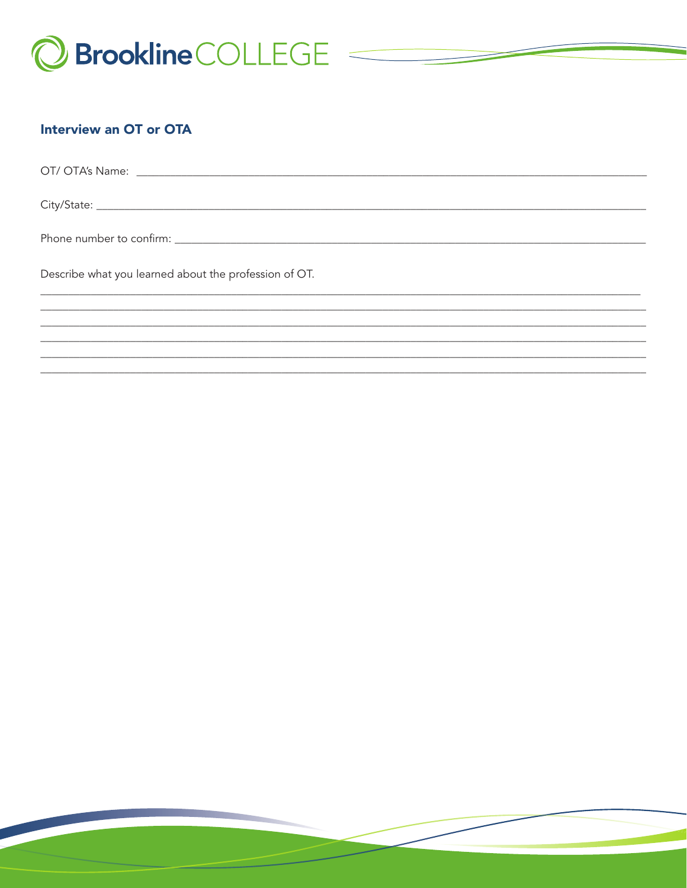

## **Interview an OT or OTA**

| Describe what you learned about the profession of OT. |  |
|-------------------------------------------------------|--|
|                                                       |  |
|                                                       |  |
|                                                       |  |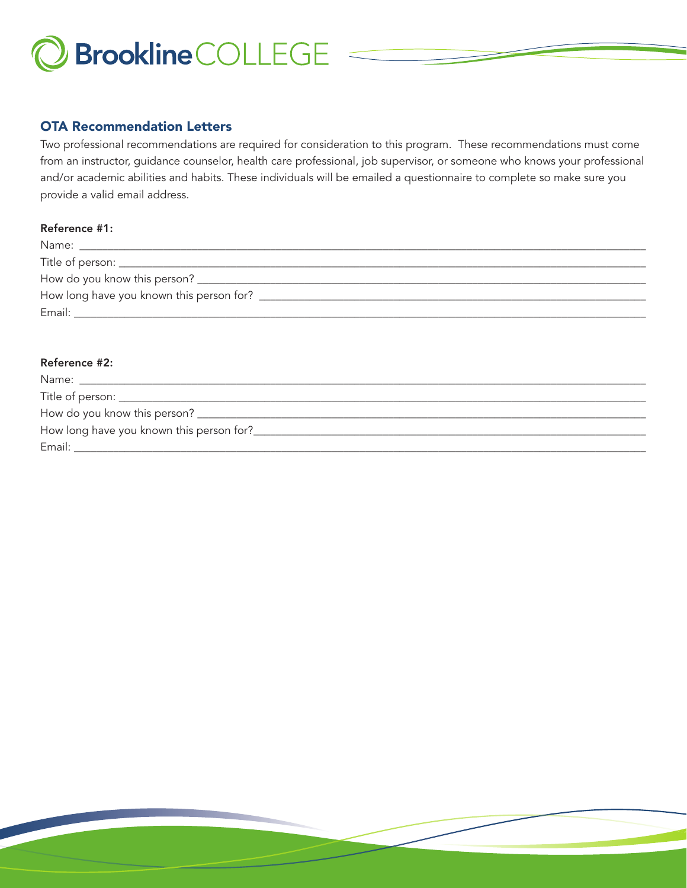

### OTA Recommendation Letters

Two professional recommendations are required for consideration to this program. These recommendations must come from an instructor, guidance counselor, health care professional, job supervisor, or someone who knows your professional and/or academic abilities and habits. These individuals will be emailed a questionnaire to complete so make sure you provide a valid email address.

#### Reference #1:

| Email: |  |
|--------|--|

#### Reference #2:

| Email: |  |
|--------|--|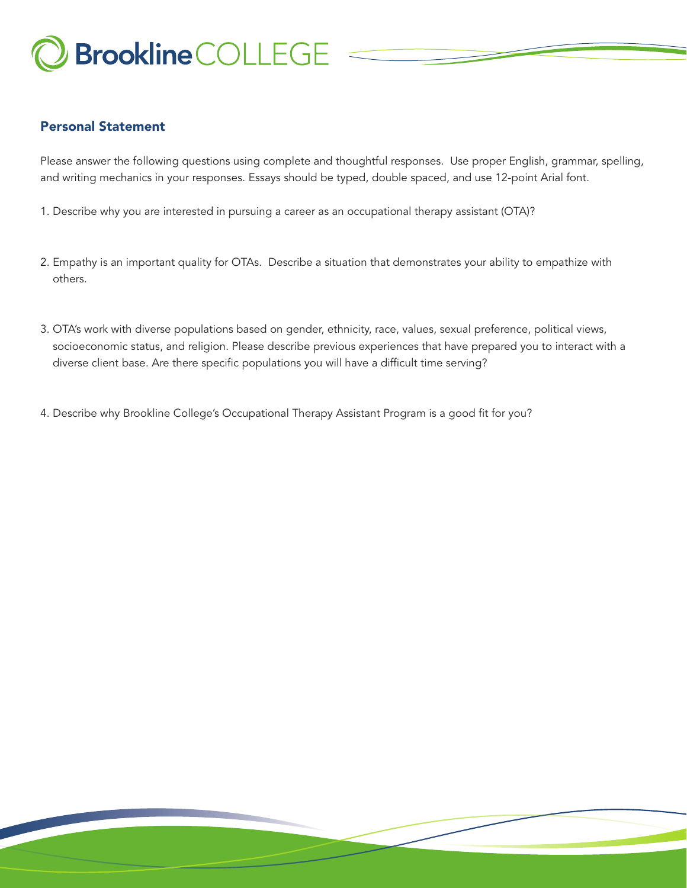

## Personal Statement

Please answer the following questions using complete and thoughtful responses. Use proper English, grammar, spelling, and writing mechanics in your responses. Essays should be typed, double spaced, and use 12-point Arial font.

- 1. Describe why you are interested in pursuing a career as an occupational therapy assistant (OTA)?
- 2. Empathy is an important quality for OTAs. Describe a situation that demonstrates your ability to empathize with others.
- 3. OTA's work with diverse populations based on gender, ethnicity, race, values, sexual preference, political views, socioeconomic status, and religion. Please describe previous experiences that have prepared you to interact with a diverse client base. Are there specific populations you will have a difficult time serving?
- 4. Describe why Brookline College's Occupational Therapy Assistant Program is a good fit for you?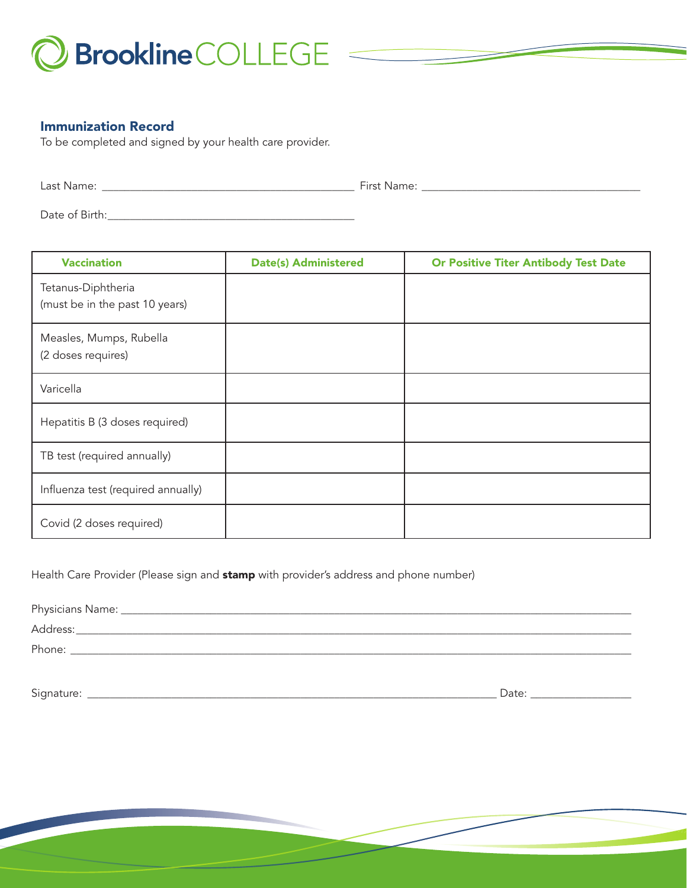

#### Immunization Record

To be completed and signed by your health care provider.

Last Name: \_\_\_\_\_\_\_\_\_\_\_\_\_\_\_\_\_\_\_\_\_\_\_\_\_\_\_\_\_\_\_\_\_\_\_\_\_\_\_\_\_\_\_\_\_ First Name: \_\_\_\_\_\_\_\_\_\_\_\_\_\_\_\_\_\_\_\_\_\_\_\_\_\_\_\_\_\_\_\_\_\_\_\_\_\_\_

Date of Birth:\_\_\_\_\_\_\_\_\_\_\_\_\_\_\_\_\_\_\_\_\_\_\_\_\_\_\_\_\_\_\_\_\_\_\_\_\_\_\_\_\_\_\_\_

| <b>Vaccination</b>                                   | <b>Date(s) Administered</b> | <b>Or Positive Titer Antibody Test Date</b> |
|------------------------------------------------------|-----------------------------|---------------------------------------------|
| Tetanus-Diphtheria<br>(must be in the past 10 years) |                             |                                             |
| Measles, Mumps, Rubella<br>(2 doses requires)        |                             |                                             |
| Varicella                                            |                             |                                             |
| Hepatitis B (3 doses required)                       |                             |                                             |
| TB test (required annually)                          |                             |                                             |
| Influenza test (required annually)                   |                             |                                             |
| Covid (2 doses required)                             |                             |                                             |

Health Care Provider (Please sign and stamp with provider's address and phone number)

| Physicians Name: _ |  |  |  |
|--------------------|--|--|--|
| Address:           |  |  |  |
| Phone:             |  |  |  |

Signature: \_\_\_\_\_\_\_\_\_\_\_\_\_\_\_\_\_\_\_\_\_\_\_\_\_\_\_\_\_\_\_\_\_\_\_\_\_\_\_\_\_\_\_\_\_\_\_\_\_\_\_\_\_\_\_\_\_\_\_\_\_\_\_\_\_\_\_\_\_\_\_\_\_ Date: \_\_\_\_\_\_\_\_\_\_\_\_\_\_\_\_\_\_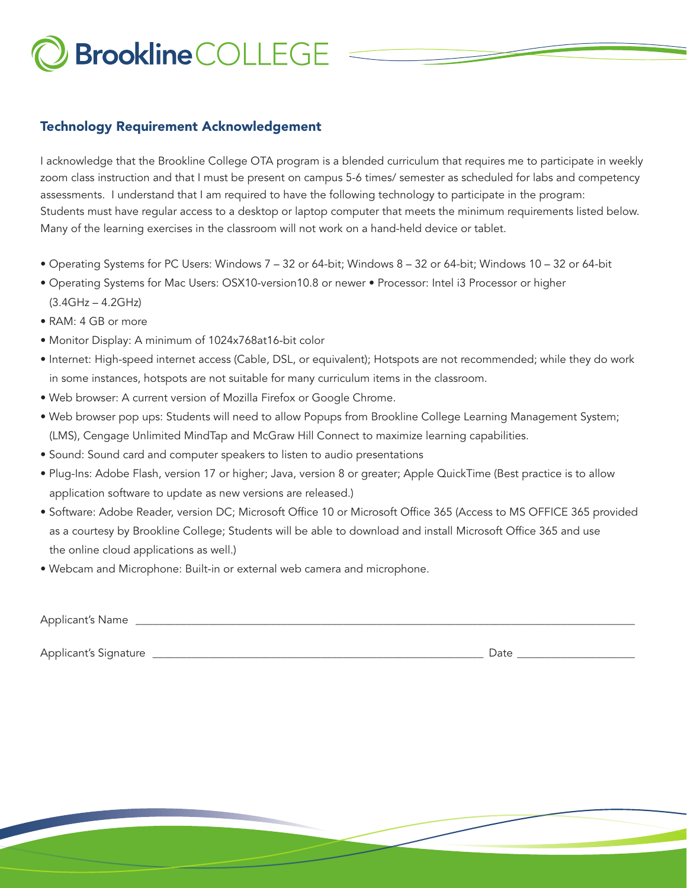## Technology Requirement Acknowledgement

I acknowledge that the Brookline College OTA program is a blended curriculum that requires me to participate in weekly zoom class instruction and that I must be present on campus 5-6 times/ semester as scheduled for labs and competency assessments. I understand that I am required to have the following technology to participate in the program: Students must have regular access to a desktop or laptop computer that meets the minimum requirements listed below. Many of the learning exercises in the classroom will not work on a hand-held device or tablet.

- Operating Systems for PC Users: Windows 7 32 or 64-bit; Windows 8 32 or 64-bit; Windows 10 32 or 64-bit
- Operating Systems for Mac Users: OSX10-version10.8 or newer Processor: Intel i3 Processor or higher (3.4GHz – 4.2GHz)
- RAM: 4 GB or more
- Monitor Display: A minimum of 1024x768at16-bit color
- Internet: High-speed internet access (Cable, DSL, or equivalent); Hotspots are not recommended; while they do work in some instances, hotspots are not suitable for many curriculum items in the classroom.
- Web browser: A current version of Mozilla Firefox or Google Chrome.
- Web browser pop ups: Students will need to allow Popups from Brookline College Learning Management System; (LMS), Cengage Unlimited MindTap and McGraw Hill Connect to maximize learning capabilities.
- Sound: Sound card and computer speakers to listen to audio presentations
- Plug-Ins: Adobe Flash, version 17 or higher; Java, version 8 or greater; Apple QuickTime (Best practice is to allow application software to update as new versions are released.)
- Software: Adobe Reader, version DC; Microsoft Office 10 or Microsoft Office 365 (Access to MS OFFICE 365 provided as a courtesy by Brookline College; Students will be able to download and install Microsoft Office 365 and use the online cloud applications as well.)
- Webcam and Microphone: Built-in or external web camera and microphone.

| <b>Applicant's Name</b> |  |      |
|-------------------------|--|------|
|                         |  |      |
| Applicant's Signature   |  | Date |